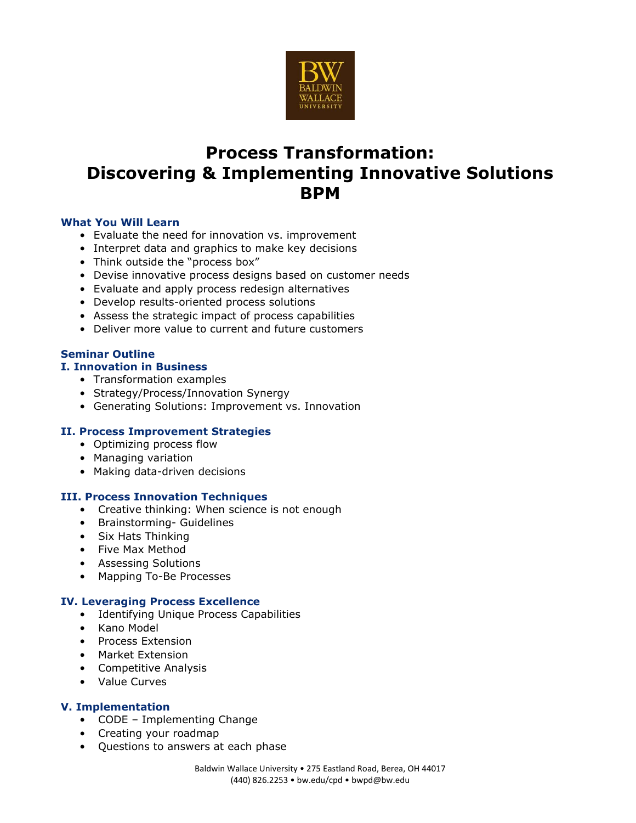

# **Process Transformation: Discovering & Implementing Innovative Solutions BPM**

## **What You Will Learn**

- Evaluate the need for innovation vs. improvement
- Interpret data and graphics to make key decisions
- Think outside the "process box"
- Devise innovative process designs based on customer needs
- Evaluate and apply process redesign alternatives
- Develop results-oriented process solutions
- Assess the strategic impact of process capabilities
- Deliver more value to current and future customers

## **Seminar Outline**

# **I. Innovation in Business**

- Transformation examples
- Strategy/Process/Innovation Synergy
- Generating Solutions: Improvement vs. Innovation

#### **II. Process Improvement Strategies**

- Optimizing process flow
- Managing variation
- Making data-driven decisions

#### **III. Process Innovation Techniques**

- Creative thinking: When science is not enough
- Brainstorming- Guidelines
- Six Hats Thinking
- Five Max Method
- Assessing Solutions
- Mapping To-Be Processes

#### **IV. Leveraging Process Excellence**

- Identifying Unique Process Capabilities
- Kano Model
- Process Extension
- Market Extension
- Competitive Analysis
- Value Curves

#### **V. Implementation**

- CODE Implementing Change
- Creating your roadmap
- Questions to answers at each phase